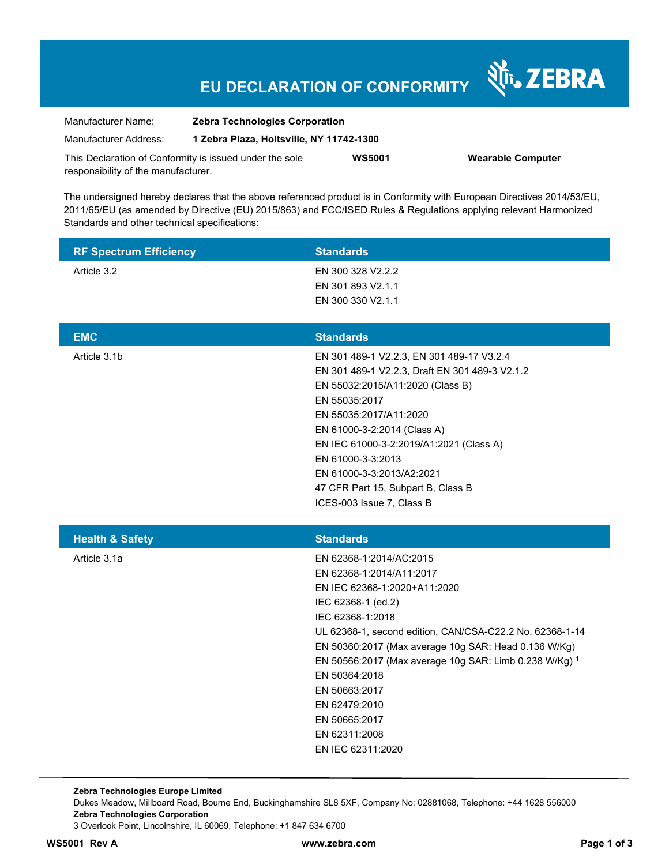# **EU DECLARATION OF CONFORMITY**

Nr. ZEBRA

| Manufacturer Name:                                      | <b>Zebra Technologies Corporation</b>    |               |                          |
|---------------------------------------------------------|------------------------------------------|---------------|--------------------------|
| Manufacturer Address:                                   | 1 Zebra Plaza, Holtsville, NY 11742-1300 |               |                          |
| This Declaration of Conformity is issued under the sole |                                          | <b>WS5001</b> | <b>Wearable Computer</b> |
| responsibility of the manufacturer.                     |                                          |               |                          |

The undersigned hereby declares that the above referenced product is in Conformity with European Directives 2014/53/EU, 2011/65/EU (as amended by Directive (EU) 2015/863) and FCC/ISED Rules & Regulations applying relevant Harmonized Standards and other technical specifications:

| <b>RF Spectrum Efficiency</b> | <b>Standards</b>                                                                                                                                                                                                                                                                                                                                                                                                      |
|-------------------------------|-----------------------------------------------------------------------------------------------------------------------------------------------------------------------------------------------------------------------------------------------------------------------------------------------------------------------------------------------------------------------------------------------------------------------|
| Article 3.2                   | EN 300 328 V2.2.2<br>EN 301 893 V2.1.1<br>EN 300 330 V2.1.1                                                                                                                                                                                                                                                                                                                                                           |
| <b>EMC</b>                    | <b>Standards</b>                                                                                                                                                                                                                                                                                                                                                                                                      |
| Article 3.1b                  | EN 301 489-1 V2.2.3, EN 301 489-17 V3.2.4<br>EN 301 489-1 V2.2.3, Draft EN 301 489-3 V2.1.2<br>EN 55032:2015/A11:2020 (Class B)<br>EN 55035:2017<br>EN 55035:2017/A11:2020<br>EN 61000-3-2:2014 (Class A)<br>EN IEC 61000-3-2:2019/A1:2021 (Class A)<br>EN 61000-3-3:2013<br>EN 61000-3-3:2013/A2:2021<br>47 CFR Part 15, Subpart B, Class B<br>ICES-003 Issue 7, Class B                                             |
| <b>Health &amp; Safety</b>    | <b>Standards</b>                                                                                                                                                                                                                                                                                                                                                                                                      |
| Article 3.1a                  | EN 62368-1:2014/AC:2015<br>EN 62368-1:2014/A11:2017<br>EN IEC 62368-1:2020+A11:2020<br>IEC 62368-1 (ed.2)<br>IEC 62368-1:2018<br>UL 62368-1, second edition, CAN/CSA-C22.2 No. 62368-1-14<br>EN 50360:2017 (Max average 10g SAR: Head 0.136 W/Kg)<br>EN 50566:2017 (Max average 10g SAR: Limb 0.238 W/Kg) 1<br>EN 50364:2018<br>EN 50663:2017<br>EN 62479:2010<br>EN 50665:2017<br>EN 62311:2008<br>EN IEC 62311:2020 |

**Zebra Technologies Europe Limited**  Dukes Meadow, Millboard Road, Bourne End, Buckinghamshire SL8 5XF, Company No: 02881068, Telephone: +44 1628 556000 **Zebra Technologies Corporation**  3 Overlook Point, Lincolnshire, IL 60069, Telephone: +1 847 634 6700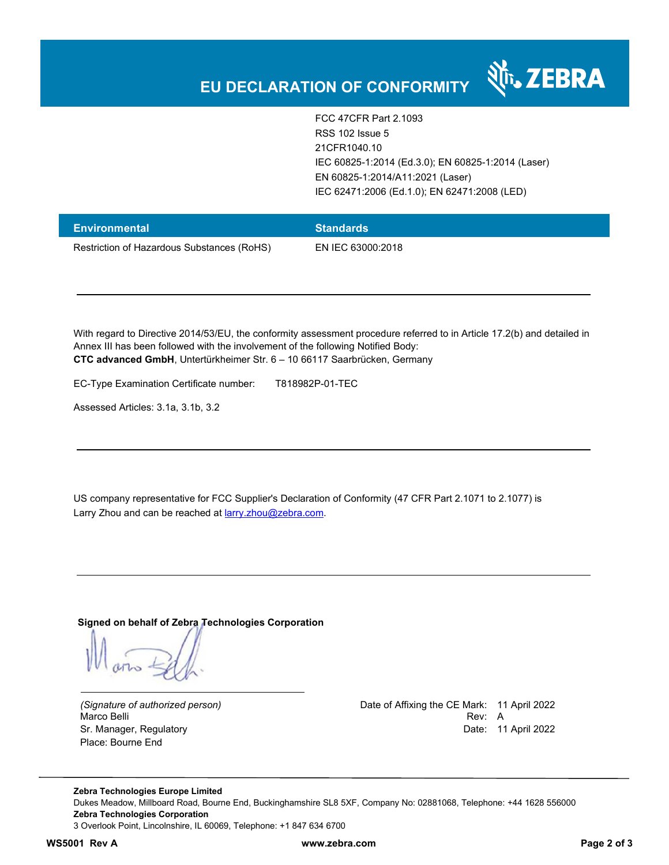

FCC 47CFR Part 2.1093 RSS 102 Issue 5 21CFR1040.10 IEC 60825-1:2014 (Ed.3.0); EN 60825-1:2014 (Laser) EN 60825-1:2014/A11:2021 (Laser) IEC 62471:2006 (Ed.1.0); EN 62471:2008 (LED)

| <b>Environmental</b>                       | <b>Standards</b>  |
|--------------------------------------------|-------------------|
| Restriction of Hazardous Substances (RoHS) | EN IEC 63000:2018 |

With regard to Directive 2014/53/EU, the conformity assessment procedure referred to in Article 17.2(b) and detailed in Annex III has been followed with the involvement of the following Notified Body: **CTC advanced GmbH**, Untertürkheimer Str. 6 – 10 66117 Saarbrücken, Germany

EC-Type Examination Certificate number: T818982P-01-TEC

Assessed Articles: 3.1a, 3.1b, 3.2

US company representative for FCC Supplier's Declaration of Conformity (47 CFR Part 2.1071 to 2.1077) is Larry Zhou and can be reached at larry.zhou@zebra.com.

**Signed on behalf of Zebra Technologies Corporation** 

Place: Bourne End

*(Signature of authorized person)* Date of Affixing the CE Mark: 11 April 2022 Marco Belli Rev: A Sr. Manager, Regulatory **Date: 11 April 2022** 

**Zebra Technologies Europe Limited**  Dukes Meadow, Millboard Road, Bourne End, Buckinghamshire SL8 5XF, Company No: 02881068, Telephone: +44 1628 556000 **Zebra Technologies Corporation**  3 Overlook Point, Lincolnshire, IL 60069, Telephone: +1 847 634 6700